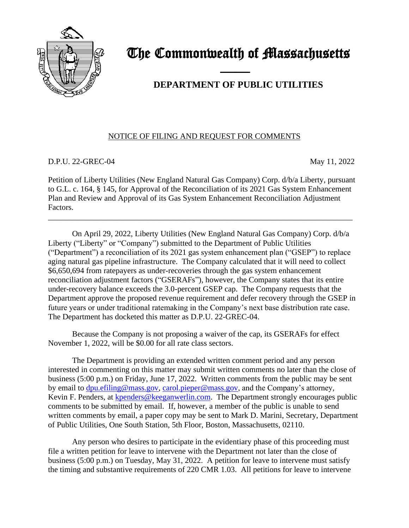

## The Commonwealth of Massachusetts

## and the contract of the contract of **DEPARTMENT OF PUBLIC UTILITIES**

## NOTICE OF FILING AND REQUEST FOR COMMENTS

D.P.U. 22-GREC-04 May 11, 2022

Petition of Liberty Utilities (New England Natural Gas Company) Corp. d/b/a Liberty, pursuant to G.L. c. 164, § 145, for Approval of the Reconciliation of its 2021 Gas System Enhancement Plan and Review and Approval of its Gas System Enhancement Reconciliation Adjustment Factors.

\_\_\_\_\_\_\_\_\_\_\_\_\_\_\_\_\_\_\_\_\_\_\_\_\_\_\_\_\_\_\_\_\_\_\_\_\_\_\_\_\_\_\_\_\_\_\_\_\_\_\_\_\_\_\_\_\_\_\_\_\_\_\_\_\_\_\_\_\_\_\_\_\_\_\_\_

On April 29, 2022, Liberty Utilities (New England Natural Gas Company) Corp. d/b/a Liberty ("Liberty" or "Company") submitted to the Department of Public Utilities ("Department") a reconciliation of its 2021 gas system enhancement plan ("GSEP") to replace aging natural gas pipeline infrastructure. The Company calculated that it will need to collect \$6,650,694 from ratepayers as under-recoveries through the gas system enhancement reconciliation adjustment factors ("GSERAFs"), however, the Company states that its entire under-recovery balance exceeds the 3.0-percent GSEP cap. The Company requests that the Department approve the proposed revenue requirement and defer recovery through the GSEP in future years or under traditional ratemaking in the Company's next base distribution rate case. The Department has docketed this matter as D.P.U. 22-GREC-04.

Because the Company is not proposing a waiver of the cap, its GSERAFs for effect November 1, 2022, will be \$0.00 for all rate class sectors.

The Department is providing an extended written comment period and any person interested in commenting on this matter may submit written comments no later than the close of business (5:00 p.m.) on Friday, June 17, 2022. Written comments from the public may be sent by email to [dpu.efiling@mass.gov,](mailto:dpu.efiling@mass.gov) [carol.pieper@mass.gov,](mailto:carol.pieper@mass.gov) and the Company's attorney, Kevin F. Penders, at [kpenders@keeganwerlin.com.](mailto:kpenders@keeganwerlin.com) The Department strongly encourages public comments to be submitted by email. If, however, a member of the public is unable to send written comments by email, a paper copy may be sent to Mark D. Marini, Secretary, Department of Public Utilities, One South Station, 5th Floor, Boston, Massachusetts, 02110.

Any person who desires to participate in the evidentiary phase of this proceeding must file a written petition for leave to intervene with the Department not later than the close of business (5:00 p.m.) on Tuesday, May 31, 2022. A petition for leave to intervene must satisfy the timing and substantive requirements of 220 CMR 1.03. All petitions for leave to intervene